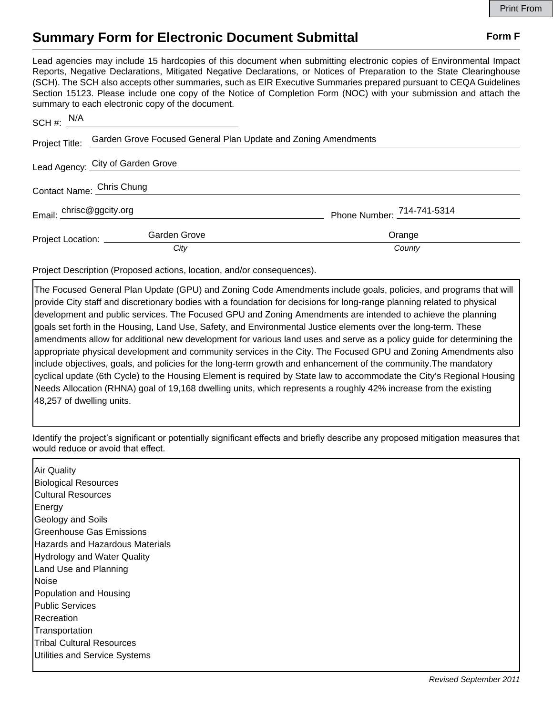## **Summary Form for Electronic Document Submittal Form F Form F**

Lead agencies may include 15 hardcopies of this document when submitting electronic copies of Environmental Impact Reports, Negative Declarations, Mitigated Negative Declarations, or Notices of Preparation to the State Clearinghouse (SCH). The SCH also accepts other summaries, such as EIR Executive Summaries prepared pursuant to CEQA Guidelines Section 15123. Please include one copy of the Notice of Completion Form (NOC) with your submission and attach the summary to each electronic copy of the document.

| SCH #: $N/A$               |                                                                               |                            |
|----------------------------|-------------------------------------------------------------------------------|----------------------------|
|                            | Project Title: Garden Grove Focused General Plan Update and Zoning Amendments |                            |
|                            | Lead Agency: City of Garden Grove                                             |                            |
| Contact Name: Chris Chung  |                                                                               |                            |
| Email: chrisc@ggcity.org   |                                                                               | Phone Number: 714-741-5314 |
| Project Location: ________ | Garden Grove                                                                  | Orange                     |
|                            | City                                                                          | County                     |

Project Description (Proposed actions, location, and/or consequences).

The Focused General Plan Update (GPU) and Zoning Code Amendments include goals, policies, and programs that will provide City staff and discretionary bodies with a foundation for decisions for long-range planning related to physical development and public services. The Focused GPU and Zoning Amendments are intended to achieve the planning goals set forth in the Housing, Land Use, Safety, and Environmental Justice elements over the long-term. These amendments allow for additional new development for various land uses and serve as a policy guide for determining the appropriate physical development and community services in the City. The Focused GPU and Zoning Amendments also include objectives, goals, and policies for the long-term growth and enhancement of the community.The mandatory cyclical update (6th Cycle) to the Housing Element is required by State law to accommodate the City's Regional Housing Needs Allocation (RHNA) goal of 19,168 dwelling units, which represents a roughly 42% increase from the existing 48,257 of dwelling units.

Identify the project's significant or potentially significant effects and briefly describe any proposed mitigation measures that would reduce or avoid that effect.

Air Quality Biological Resources Cultural Resources Energy Geology and Soils Greenhouse Gas Emissions Hazards and Hazardous Materials Hydrology and Water Quality Land Use and Planning **Noise** Population and Housing Public Services Recreation **Transportation** Tribal Cultural Resources Utilities and Service Systems